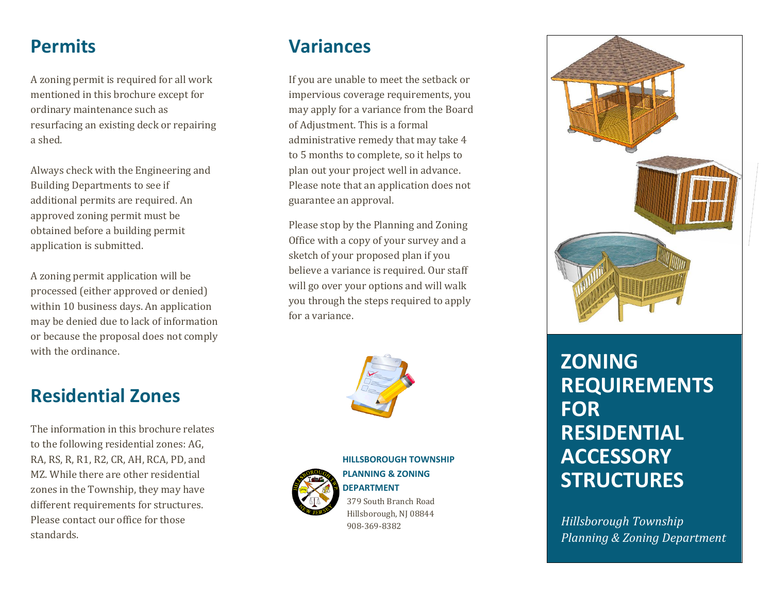### **Permits**

A zoning permit is required for all work mentioned in this brochure except for ordinary maintenance such as resurfacing an existing deck or repairing a shed.

Always check with the Engineering and Building Departments to see if additional permits are required. An approved zoning permit must be obtained before a building permit application is submitted.

A zoning permit application will be processed (either approved or denied) within 10 business days. An application may be denied due to lack of information or because the proposal does not comply with the ordinance.

#### **Variances**

If you are unable to meet the setback or impervious coverage requirements, you may apply for a variance from the Board of Adjustment. This is a formal administrative remedy that may take 4 to 5 months to complete, so it helps to plan out your project well in advance. Please note that an application does not guarantee an approval.

Please stop by the Planning and Zoning Office with a copy of your survey and a sketch of your proposed plan if you believe a variance is required. Our staff will go over your options and will walk you through the steps required to apply for a variance.





**HILLSBOROUGH TOWNSHIP PLANNING & ZONING DEPARTMENT** 379 South Branch Road Hillsborough, NJ 08844 908 -369 -8382



# **ZONING REQUIREMENTS FOR RESIDENTIAL ACCESSORY STRUCTURES**

*Hillsborough Township Planning & Zoning Department*

# **Residential Zones**

The information in this brochure relates to the following residential zones: AG, RA, RS, R, R1, R2, CR, AH, RCA, PD, and MZ. While there are other residential zones in the Township, they may have different requirements for structures. Please contact our office for those standards.